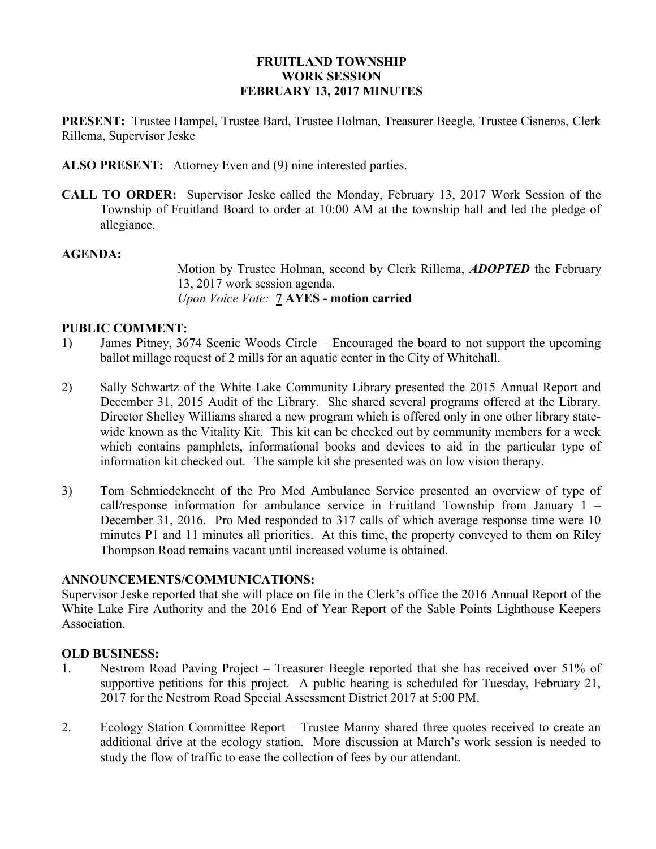## FRUITLAND TOWNSHIP WORK SESSION FEBRUARY 13, 2017 MINUTES

PRESENT: Trustee Hampel, Trustee Bard, Trustee Holman, Treasurer Beegle, Trustee Cisneros, Clerk Rillema, Supervisor Jeske

ALSO PRESENT: Attorney Even and (9) nine interested parties.

CALL TO ORDER: Supervisor Jeske called the Monday, February 13, 2017 Work Session of the Township of Fruitland Board to order at 10:00 AM at the township hall and led the pledge of allegiance.

#### AGENDA:

Motion by Trustee Holman, second by Clerk Rillema, **ADOPTED** the February 13, 2017 work session agenda. Upon Voice Vote: 7 AYES - motion carried

### PUBLIC COMMENT:

- 1) James Pitney, 3674 Scenic Woods Circle Encouraged the board to not support the upcoming ballot millage request of 2 mills for an aquatic center in the City of Whitehall.
- 2) Sally Schwartz of the White Lake Community Library presented the 2015 Annual Report and December 31, 2015 Audit of the Library. She shared several programs offered at the Library. Director Shelley Williams shared a new program which is offered only in one other library statewide known as the Vitality Kit. This kit can be checked out by community members for a week which contains pamphlets, informational books and devices to aid in the particular type of information kit checked out. The sample kit she presented was on low vision therapy.
- 3) Tom Schmiedeknecht of the Pro Med Ambulance Service presented an overview of type of call/response information for ambulance service in Fruitland Township from January 1 – December 31, 2016. Pro Med responded to 317 calls of which average response time were 10 minutes P1 and 11 minutes all priorities. At this time, the property conveyed to them on Riley Thompson Road remains vacant until increased volume is obtained.

#### ANNOUNCEMENTS/COMMUNICATIONS:

Supervisor Jeske reported that she will place on file in the Clerk's office the 2016 Annual Report of the White Lake Fire Authority and the 2016 End of Year Report of the Sable Points Lighthouse Keepers Association.

#### OLD BUSINESS:

- 1. Nestrom Road Paving Project Treasurer Beegle reported that she has received over 51% of supportive petitions for this project. A public hearing is scheduled for Tuesday, February 21, 2017 for the Nestrom Road Special Assessment District 2017 at 5:00 PM.
- 2. Ecology Station Committee Report Trustee Manny shared three quotes received to create an additional drive at the ecology station. More discussion at March's work session is needed to study the flow of traffic to ease the collection of fees by our attendant.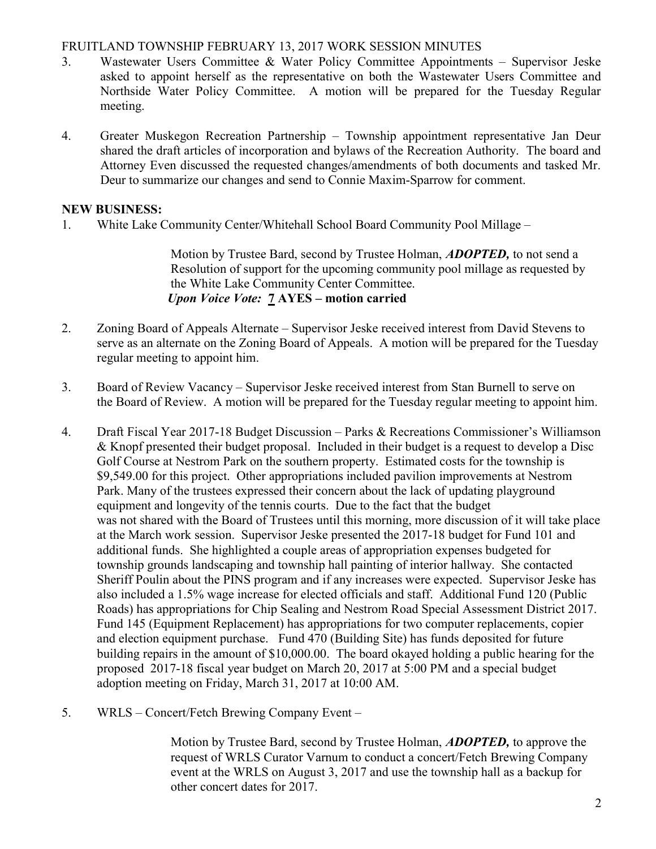## FRUITLAND TOWNSHIP FEBRUARY 13, 2017 WORK SESSION MINUTES

- 3. Wastewater Users Committee & Water Policy Committee Appointments Supervisor Jeske asked to appoint herself as the representative on both the Wastewater Users Committee and Northside Water Policy Committee. A motion will be prepared for the Tuesday Regular meeting.
- 4. Greater Muskegon Recreation Partnership Township appointment representative Jan Deur shared the draft articles of incorporation and bylaws of the Recreation Authority. The board and Attorney Even discussed the requested changes/amendments of both documents and tasked Mr. Deur to summarize our changes and send to Connie Maxim-Sparrow for comment.

## NEW BUSINESS:

1. White Lake Community Center/Whitehall School Board Community Pool Millage –

Motion by Trustee Bard, second by Trustee Holman, **ADOPTED**, to not send a Resolution of support for the upcoming community pool millage as requested by the White Lake Community Center Committee. Upon Voice Vote: 7 AYES – motion carried

- 2. Zoning Board of Appeals Alternate Supervisor Jeske received interest from David Stevens to serve as an alternate on the Zoning Board of Appeals. A motion will be prepared for the Tuesday regular meeting to appoint him.
- 3. Board of Review Vacancy Supervisor Jeske received interest from Stan Burnell to serve on the Board of Review. A motion will be prepared for the Tuesday regular meeting to appoint him.
- 4. Draft Fiscal Year 2017-18 Budget Discussion Parks & Recreations Commissioner's Williamson & Knopf presented their budget proposal. Included in their budget is a request to develop a Disc Golf Course at Nestrom Park on the southern property. Estimated costs for the township is \$9,549.00 for this project. Other appropriations included pavilion improvements at Nestrom Park. Many of the trustees expressed their concern about the lack of updating playground equipment and longevity of the tennis courts. Due to the fact that the budget was not shared with the Board of Trustees until this morning, more discussion of it will take place at the March work session. Supervisor Jeske presented the 2017-18 budget for Fund 101 and additional funds. She highlighted a couple areas of appropriation expenses budgeted for township grounds landscaping and township hall painting of interior hallway. She contacted Sheriff Poulin about the PINS program and if any increases were expected. Supervisor Jeske has also included a 1.5% wage increase for elected officials and staff. Additional Fund 120 (Public Roads) has appropriations for Chip Sealing and Nestrom Road Special Assessment District 2017. Fund 145 (Equipment Replacement) has appropriations for two computer replacements, copier and election equipment purchase. Fund 470 (Building Site) has funds deposited for future building repairs in the amount of \$10,000.00. The board okayed holding a public hearing for the proposed 2017-18 fiscal year budget on March 20, 2017 at 5:00 PM and a special budget adoption meeting on Friday, March 31, 2017 at 10:00 AM.
- 5. WRLS Concert/Fetch Brewing Company Event –

Motion by Trustee Bard, second by Trustee Holman, **ADOPTED**, to approve the request of WRLS Curator Varnum to conduct a concert/Fetch Brewing Company event at the WRLS on August 3, 2017 and use the township hall as a backup for other concert dates for 2017.